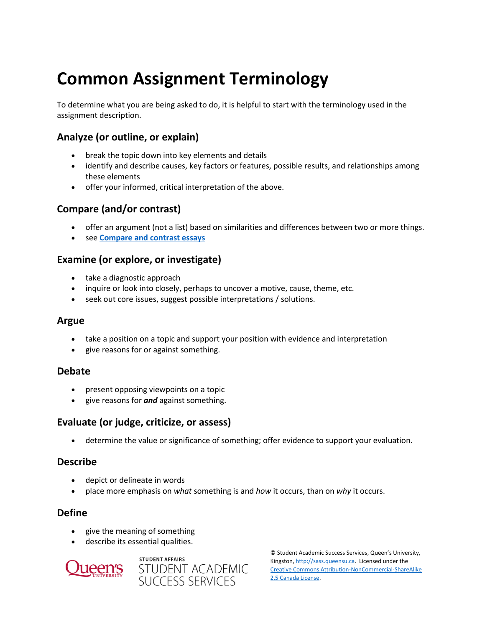# **Common Assignment Terminology**

To determine what you are being asked to do, it is helpful to start with the terminology used in the assignment description.

## **Analyze (or outline, or explain)**

- break the topic down into key elements and details
- identify and describe causes, key factors or features, possible results, and relationships among these elements
- offer your informed, critical interpretation of the above.

## **Compare (and/or contrast)**

- offer an argument (not a list) based on similarities and differences between two or more things.
- see **[Compare and contrast essays](https://wp3-dev.its.queensu.ca/ha/sasswww/resources/compare-and-contrast-essays)**

#### **Examine (or explore, or investigate)**

- take a diagnostic approach
- inquire or look into closely, perhaps to uncover a motive, cause, theme, etc.
- seek out core issues, suggest possible interpretations / solutions.

#### **Argue**

- take a position on a topic and support your position with evidence and interpretation
- give reasons for or against something.

#### **Debate**

- present opposing viewpoints on a topic
- give reasons for *and* against something.

## **Evaluate (or judge, criticize, or assess)**

• determine the value or significance of something; offer evidence to support your evaluation.

#### **Describe**

- depict or delineate in words
- place more emphasis on *what* something is and *how* it occurs, than on *why* it occurs.

#### **Define**

- give the meaning of something
- describe its essential qualities.





© Student Academic Success Services, Queen's University, Kingston[, http://sass.queensu.ca.](http://sass.queensu.ca/) Licensed under the [Creative Commons Attribution-NonCommercial-ShareAlike](http://creativecommons.org/licenses/by-nc-sa/2.5/ca/)  [2.5 Canada License.](http://creativecommons.org/licenses/by-nc-sa/2.5/ca/)